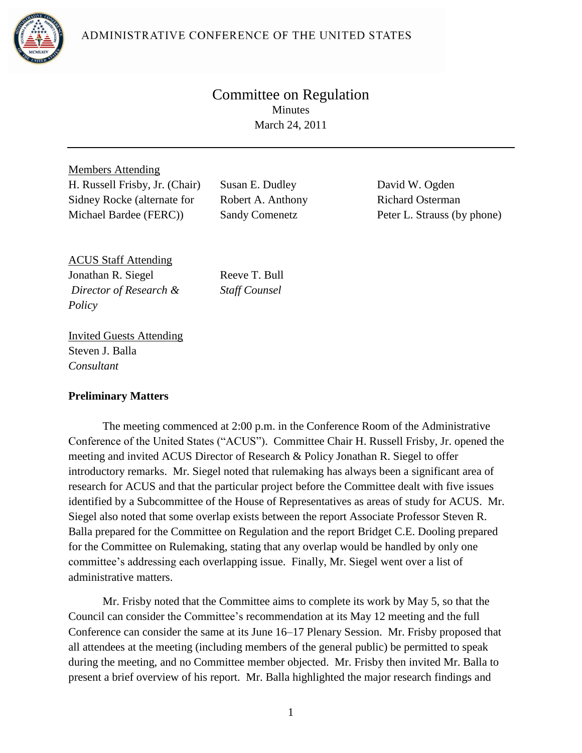ADMINISTRATIVE CONFERENCE OF THE UNITED STATES



# Committee on Regulation Minutes March 24, 2011

Members Attending H. Russell Frisby, Jr. (Chair) Susan E. Dudley David W. Ogden Sidney Rocke (alternate for Michael Bardee (FERC))

Robert A. Anthony Sandy Comenetz

Richard Osterman Peter L. Strauss (by phone)

ACUS Staff Attending Jonathan R. Siegel *Director of Research & Policy*

Reeve T. Bull *Staff Counsel*

Invited Guests Attending Steven J. Balla *Consultant*

#### **Preliminary Matters**

The meeting commenced at 2:00 p.m. in the Conference Room of the Administrative Conference of the United States ("ACUS"). Committee Chair H. Russell Frisby, Jr. opened the meeting and invited ACUS Director of Research & Policy Jonathan R. Siegel to offer introductory remarks. Mr. Siegel noted that rulemaking has always been a significant area of research for ACUS and that the particular project before the Committee dealt with five issues identified by a Subcommittee of the House of Representatives as areas of study for ACUS. Mr. Siegel also noted that some overlap exists between the report Associate Professor Steven R. Balla prepared for the Committee on Regulation and the report Bridget C.E. Dooling prepared for the Committee on Rulemaking, stating that any overlap would be handled by only one committee's addressing each overlapping issue. Finally, Mr. Siegel went over a list of administrative matters.

Mr. Frisby noted that the Committee aims to complete its work by May 5, so that the Council can consider the Committee's recommendation at its May 12 meeting and the full Conference can consider the same at its June 16–17 Plenary Session. Mr. Frisby proposed that all attendees at the meeting (including members of the general public) be permitted to speak during the meeting, and no Committee member objected. Mr. Frisby then invited Mr. Balla to present a brief overview of his report. Mr. Balla highlighted the major research findings and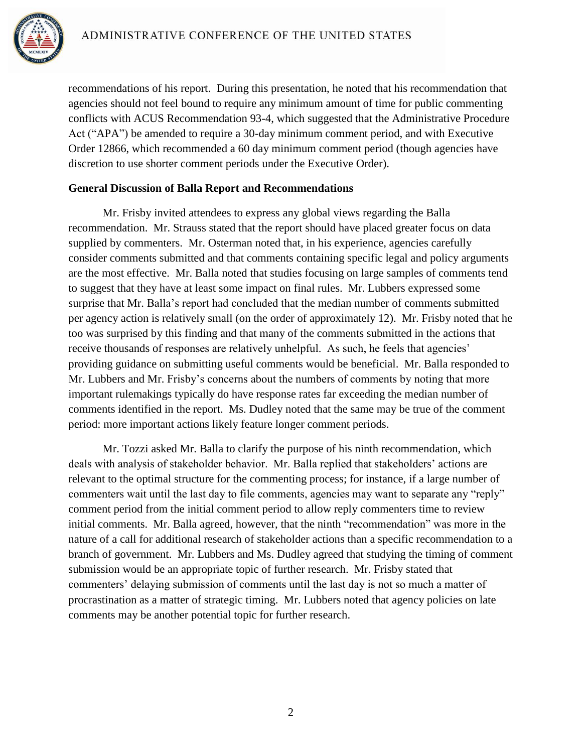

recommendations of his report. During this presentation, he noted that his recommendation that agencies should not feel bound to require any minimum amount of time for public commenting conflicts with ACUS Recommendation 93-4, which suggested that the Administrative Procedure Act ("APA") be amended to require a 30-day minimum comment period, and with Executive Order 12866, which recommended a 60 day minimum comment period (though agencies have discretion to use shorter comment periods under the Executive Order).

#### **General Discussion of Balla Report and Recommendations**

Mr. Frisby invited attendees to express any global views regarding the Balla recommendation. Mr. Strauss stated that the report should have placed greater focus on data supplied by commenters. Mr. Osterman noted that, in his experience, agencies carefully consider comments submitted and that comments containing specific legal and policy arguments are the most effective. Mr. Balla noted that studies focusing on large samples of comments tend to suggest that they have at least some impact on final rules. Mr. Lubbers expressed some surprise that Mr. Balla's report had concluded that the median number of comments submitted per agency action is relatively small (on the order of approximately 12). Mr. Frisby noted that he too was surprised by this finding and that many of the comments submitted in the actions that receive thousands of responses are relatively unhelpful. As such, he feels that agencies' providing guidance on submitting useful comments would be beneficial. Mr. Balla responded to Mr. Lubbers and Mr. Frisby's concerns about the numbers of comments by noting that more important rulemakings typically do have response rates far exceeding the median number of comments identified in the report. Ms. Dudley noted that the same may be true of the comment period: more important actions likely feature longer comment periods.

Mr. Tozzi asked Mr. Balla to clarify the purpose of his ninth recommendation, which deals with analysis of stakeholder behavior. Mr. Balla replied that stakeholders' actions are relevant to the optimal structure for the commenting process; for instance, if a large number of commenters wait until the last day to file comments, agencies may want to separate any "reply" comment period from the initial comment period to allow reply commenters time to review initial comments. Mr. Balla agreed, however, that the ninth "recommendation" was more in the nature of a call for additional research of stakeholder actions than a specific recommendation to a branch of government. Mr. Lubbers and Ms. Dudley agreed that studying the timing of comment submission would be an appropriate topic of further research. Mr. Frisby stated that commenters' delaying submission of comments until the last day is not so much a matter of procrastination as a matter of strategic timing. Mr. Lubbers noted that agency policies on late comments may be another potential topic for further research.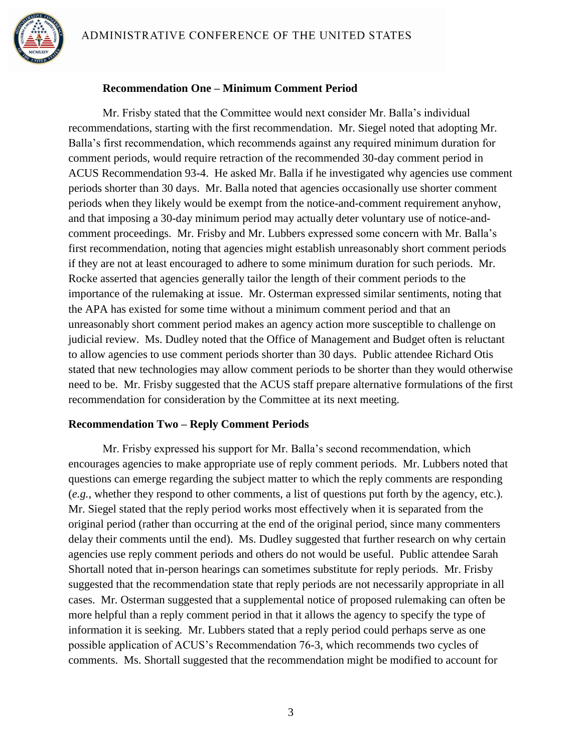

#### **Recommendation One – Minimum Comment Period**

Mr. Frisby stated that the Committee would next consider Mr. Balla's individual recommendations, starting with the first recommendation. Mr. Siegel noted that adopting Mr. Balla's first recommendation, which recommends against any required minimum duration for comment periods, would require retraction of the recommended 30-day comment period in ACUS Recommendation 93-4. He asked Mr. Balla if he investigated why agencies use comment periods shorter than 30 days. Mr. Balla noted that agencies occasionally use shorter comment periods when they likely would be exempt from the notice-and-comment requirement anyhow, and that imposing a 30-day minimum period may actually deter voluntary use of notice-andcomment proceedings. Mr. Frisby and Mr. Lubbers expressed some concern with Mr. Balla's first recommendation, noting that agencies might establish unreasonably short comment periods if they are not at least encouraged to adhere to some minimum duration for such periods. Mr. Rocke asserted that agencies generally tailor the length of their comment periods to the importance of the rulemaking at issue. Mr. Osterman expressed similar sentiments, noting that the APA has existed for some time without a minimum comment period and that an unreasonably short comment period makes an agency action more susceptible to challenge on judicial review. Ms. Dudley noted that the Office of Management and Budget often is reluctant to allow agencies to use comment periods shorter than 30 days. Public attendee Richard Otis stated that new technologies may allow comment periods to be shorter than they would otherwise need to be. Mr. Frisby suggested that the ACUS staff prepare alternative formulations of the first recommendation for consideration by the Committee at its next meeting.

#### **Recommendation Two – Reply Comment Periods**

Mr. Frisby expressed his support for Mr. Balla's second recommendation, which encourages agencies to make appropriate use of reply comment periods. Mr. Lubbers noted that questions can emerge regarding the subject matter to which the reply comments are responding (*e.g.*, whether they respond to other comments, a list of questions put forth by the agency, etc.). Mr. Siegel stated that the reply period works most effectively when it is separated from the original period (rather than occurring at the end of the original period, since many commenters delay their comments until the end). Ms. Dudley suggested that further research on why certain agencies use reply comment periods and others do not would be useful. Public attendee Sarah Shortall noted that in-person hearings can sometimes substitute for reply periods. Mr. Frisby suggested that the recommendation state that reply periods are not necessarily appropriate in all cases. Mr. Osterman suggested that a supplemental notice of proposed rulemaking can often be more helpful than a reply comment period in that it allows the agency to specify the type of information it is seeking. Mr. Lubbers stated that a reply period could perhaps serve as one possible application of ACUS's Recommendation 76-3, which recommends two cycles of comments. Ms. Shortall suggested that the recommendation might be modified to account for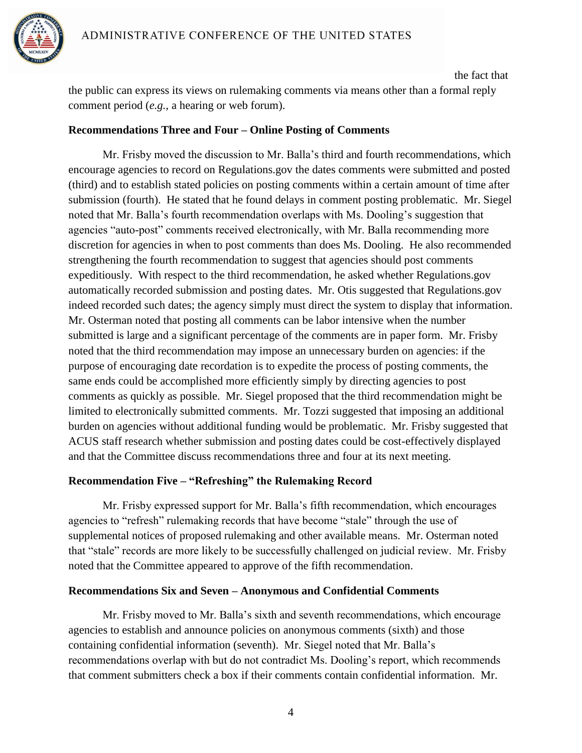

the fact that the public can express its views on rulemaking comments via means other than a formal reply comment period (*e.g.*, a hearing or web forum).

#### **Recommendations Three and Four – Online Posting of Comments**

Mr. Frisby moved the discussion to Mr. Balla's third and fourth recommendations, which encourage agencies to record on Regulations.gov the dates comments were submitted and posted (third) and to establish stated policies on posting comments within a certain amount of time after submission (fourth). He stated that he found delays in comment posting problematic. Mr. Siegel noted that Mr. Balla's fourth recommendation overlaps with Ms. Dooling's suggestion that agencies "auto-post" comments received electronically, with Mr. Balla recommending more discretion for agencies in when to post comments than does Ms. Dooling. He also recommended strengthening the fourth recommendation to suggest that agencies should post comments expeditiously. With respect to the third recommendation, he asked whether Regulations.gov automatically recorded submission and posting dates. Mr. Otis suggested that Regulations.gov indeed recorded such dates; the agency simply must direct the system to display that information. Mr. Osterman noted that posting all comments can be labor intensive when the number submitted is large and a significant percentage of the comments are in paper form. Mr. Frisby noted that the third recommendation may impose an unnecessary burden on agencies: if the purpose of encouraging date recordation is to expedite the process of posting comments, the same ends could be accomplished more efficiently simply by directing agencies to post comments as quickly as possible. Mr. Siegel proposed that the third recommendation might be limited to electronically submitted comments. Mr. Tozzi suggested that imposing an additional burden on agencies without additional funding would be problematic. Mr. Frisby suggested that ACUS staff research whether submission and posting dates could be cost-effectively displayed and that the Committee discuss recommendations three and four at its next meeting.

#### **Recommendation Five – "Refreshing" the Rulemaking Record**

Mr. Frisby expressed support for Mr. Balla's fifth recommendation, which encourages agencies to "refresh" rulemaking records that have become "stale" through the use of supplemental notices of proposed rulemaking and other available means. Mr. Osterman noted that "stale" records are more likely to be successfully challenged on judicial review. Mr. Frisby noted that the Committee appeared to approve of the fifth recommendation.

## **Recommendations Six and Seven – Anonymous and Confidential Comments**

Mr. Frisby moved to Mr. Balla's sixth and seventh recommendations, which encourage agencies to establish and announce policies on anonymous comments (sixth) and those containing confidential information (seventh). Mr. Siegel noted that Mr. Balla's recommendations overlap with but do not contradict Ms. Dooling's report, which recommends that comment submitters check a box if their comments contain confidential information. Mr.